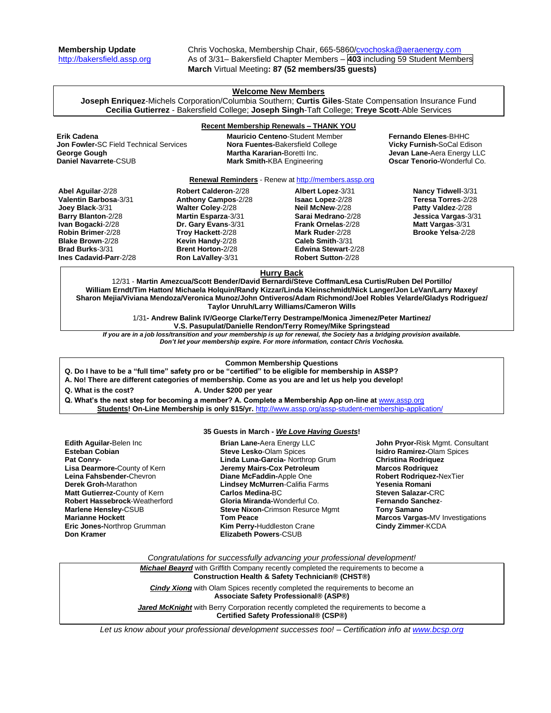**Membership Update** Chris Vochoska, Membership Chair, 665-5860[/cvochoska@aeraenergy.com](mailto:cvochoska@aeraenergy.com) [http://bakersfield.assp.org](http://bakersfield.assp.org/) As of 3/31– Bakersfield Chapter Members – **403** including 59 Student Members **March** Virtual Meeting**: 87 (52 members/35 guests)**

## **Welcome New Members**

**Joseph Enriquez**-Michels Corporation/Columbia Southern; **Curtis Giles**-State Compensation Insurance Fund **Cecilia Gutierrez** - Bakersfield College; **Joseph Singh**-Taft College; **Treye Scott**-Able Services

## **Recent Membership Renewals – THANK YOU**

| Erik Cadena<br><b>Jon Fowler-SC Field Technical Services</b><br>George Gough<br>Daniel Navarrete-CSUB | <b>Martha Kararian-Boretti Inc.</b> | <b>Mauricio Centeno-Student Member</b><br><b>Nora Fuentes-Bakersfield College</b><br><b>Mark Smith-KBA Engineering</b> | <b>Fernando Elenes-BHHC</b><br><b>Vicky Furnish-SoCal Edison</b><br>Jevan Lane-Aera Energy LLC<br><b>Oscar Tenorio-</b> Wonderful Co. |
|-------------------------------------------------------------------------------------------------------|-------------------------------------|------------------------------------------------------------------------------------------------------------------------|---------------------------------------------------------------------------------------------------------------------------------------|
|                                                                                                       |                                     | <b>Renewal Reminders</b> - Renew at http://members.assp.org                                                            |                                                                                                                                       |
| Ahel Anuilar-2/28                                                                                     | Robert Calderon-2/28                | Albert Lonez- $3/31$                                                                                                   | Nancy Tidwell-3/31                                                                                                                    |

**Abel Aguilar**-2/28 **Valentin Barbosa**-3/31 **Joey Black**-3/31 **Barry Blanton**-2/28 **Ivan Bogacki**-2/28 **Robin Brimer**-2/28 **Blake Brown**-2/28 **Brad Burks**-3/31 **Ines Cadavid-Parr**-2/28 **Robert Calderon**-2/28 **Anthony Campos**-2/28 **Walter Coley**-2/28 **Martin Esparza**-3/31 **Dr. Gary Evans**-3/31 **Troy Hackett**-2/28 **Kevin Handy**-2/28 **Brent Horton-**2/28 **Ron LaValley**-3/31 **Albert Lopez**-3/31 **Isaac Lopez**-2/28 **Neil McNew**-2/28 **Sarai Medrano**-2/28 **Frank Ornelas**-2/28 **Mark Ruder**-2/28 **Caleb Smith**-3/31 **Edwina Stewart**-2/28 **Robert Sutton**-2/28 **Nancy Tidwell**-3/31 **Teresa Torres**-2/28 **Patty Valdez**-2/28 **Jessica Vargas**-3/31 **Matt Vargas**-3/31 **Brooke Yelsa**-2/28

# **Hurry Back**

12/31 - **Martin Amezcua/Scott Bender/David Bernardi/Steve Coffman/Lesa Curtis/Ruben Del Portillo/ William Erndt/Tim Hatton/ Michaela Holquin/Randy Kizzar/Linda Kleinschmidt/Nick Langer/Jon LeVan/Larry Maxey/ Sharon Mejia/Viviana Mendoza/Veronica Munoz/John Ontiveros/Adam Richmond/Joel Robles Velarde/Gladys Rodriguez/ Taylor Unruh/Larry Williams/Cameron Wills**

> 1/31**- Andrew Balink IV/George Clarke/Terry Destrampe/Monica Jimenez/Peter Martinez/ V.S. Pasupulat/Danielle Rendon/Terry Romey/Mike Springstead**

*If you are in a job loss/transition and your membership is up for renewal, the Society has a bridging provision available. Don't let your membership expire. For more information, contact Chris Vochoska.* 

#### **Common Membership Questions**

**Q. Do I have to be a "full time" safety pro or be "certified" to be eligible for membership in ASSP?** 

**A. No! There are different categories of membership. Come as you are and let us help you develop!** 

**Q. What is the cost? A. Under \$200 per year**

**Q. What's the next step for becoming a member? A. Complete a Membership App on-line at** [www.assp.org](http://www.assp.org/) **Students! On-Line Membership is only \$15/yr.** <http://www.assp.org/assp-student-membership-application/>

### **35 Guests in March -** *We Love Having Guests***!**

**Edith Aguilar-**Belen Inc **Esteban Cobian Pat Conry-Lisa Dearmore-**County of Kern **Leina Fahsbender-**Chevron **Derek Groh-**Marathon **Matt Gutierrez-**County of Kern **Robert Hassebrock**-Weatherford **Marlene Hensley-**CSUB **Marianne Hockett Eric Jones-**Northrop Grumman **Don Kramer**

**Brian Lane-**Aera Energy LLC **Steve Lesko**-Olam Spices **Linda Luna-Garcia-** Northrop Grum **Jeremy Mairs-Cox Petroleum Diane McFaddin-**Apple One **Lindsey McMurren**-Califia Farms **Carlos Medina-**BC **Gloria Miranda-**Wonderful Co. **Steve Nixon-**Crimson Resurce Mgmt **Tom Peace Kim Perry-**Huddleston Crane **Elizabeth Powers**-CSUB

**John Pryor-**Risk Mgmt. Consultant **Isidro Ramirez-**Olam Spices **Christina Rodriquez Marcos Rodriquez Robert Rodriquez-**NexTier **Yesenia Romani Steven Salazar-**CRC **Fernando Sanchez**-**Tony Samano Marcos Vargas-**MV Investigations **Cindy Zimmer**-KCDA

*Congratulations for successfully advancing your professional development!*

*Michael Beayrd* with Griffith Company recently completed the requirements to become a **Construction Health & Safety Technician® (CHST®)** 

**Cindy Xiong** with Olam Spices recently completed the requirements to become an **Associate Safety Professional® (ASP®)**

**Jared McKnight** with Berry Corporation recently completed the requirements to become a **Certified Safety Professional® (CSP®)**

*Let us know about your professional development successes too! – Certification info a[t www.bcsp.org](http://www.bcsp.org/)*